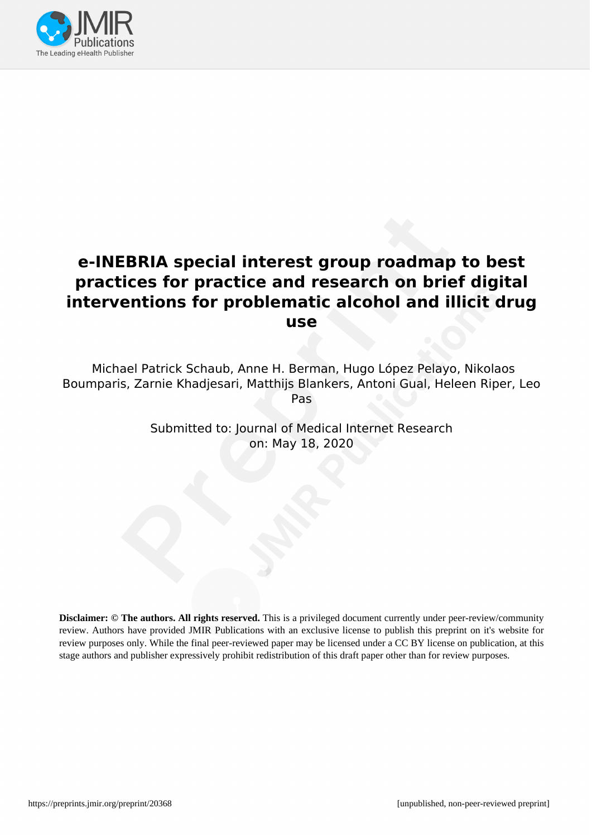

# **e-INEBRIA special interest group roadmap to best practices for practice and research on brief digital interventions for problematic alcohol and illicit drug use**

Michael Patrick Schaub, Anne H. Berman, Hugo López Pelayo, Nikolaos Boumparis, Zarnie Khadjesari, Matthijs Blankers, Antoni Gual, Heleen Riper, Leo Pas

> Submitted to: Journal of Medical Internet Research on: May 18, 2020

**Disclaimer: © The authors. All rights reserved.** This is a privileged document currently under peer-review/community review. Authors have provided JMIR Publications with an exclusive license to publish this preprint on it's website for review purposes only. While the final peer-reviewed paper may be licensed under a CC BY license on publication, at this stage authors and publisher expressively prohibit redistribution of this draft paper other than for review purposes.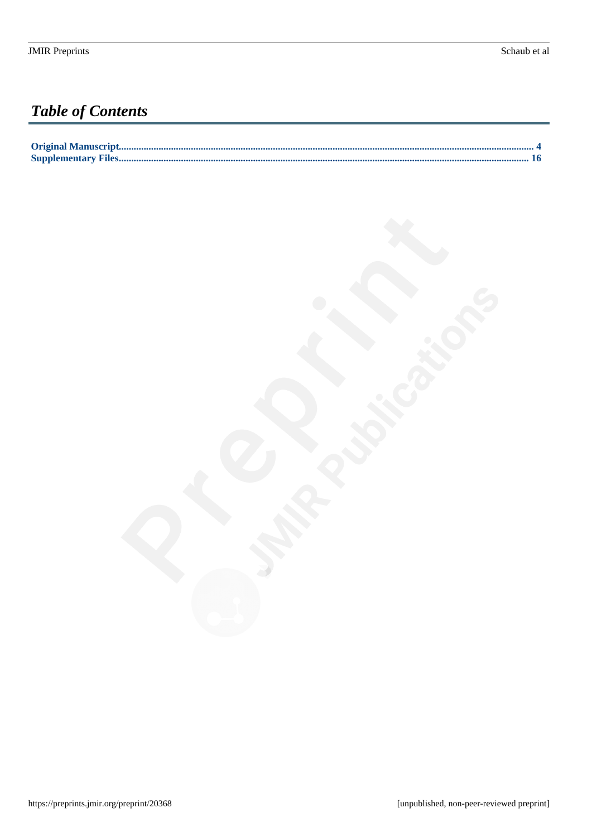# **Table of Contents**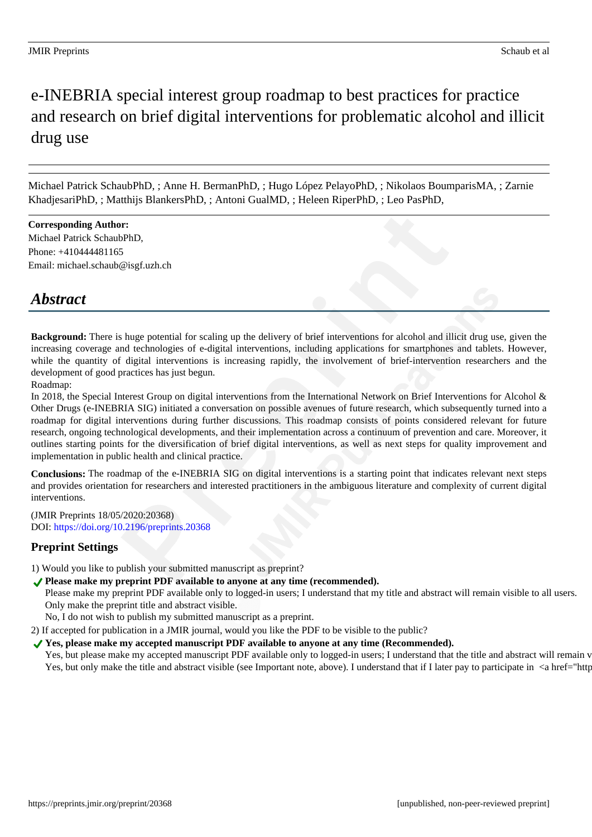# e-INEBRIA special interest group roadmap to best practices for practice and research on brief digital interventions for problematic alcohol and illicit drug use

Michael Patrick SchaubPhD, ; Anne H. BermanPhD, ; Hugo López PelayoPhD, ; Nikolaos BoumparisMA, ; Zarnie KhadjesariPhD, ; Matthijs BlankersPhD, ; Antoni GualMD, ; Heleen RiperPhD, ; Leo PasPhD,

**Corresponding Author:** Michael Patrick SchaubPhD, Phone: +410444481165 Email: michael.schaub@isgf.uzh.ch

# *Abstract*

**Background:** There is huge potential for scaling up the delivery of brief interventions for alcohol and illicit drug use, given the increasing coverage and technologies of e-digital interventions, including applications for smartphones and tablets. However, while the quantity of digital interventions is increasing rapidly, the involvement of brief-intervention researchers and the development of good practices has just begun.

Roadmap:

In 2018, the Special Interest Group on digital interventions from the International Network on Brief Interventions for Alcohol & Other Drugs (e-INEBRIA SIG) initiated a conversation on possible avenues of future research, which subsequently turned into a roadmap for digital interventions during further discussions. This roadmap consists of points considered relevant for future research, ongoing technological developments, and their implementation across a continuum of prevention and care. Moreover, it outlines starting points for the diversification of brief digital interventions, as well as next steps for quality improvement and implementation in public health and clinical practice.

**Conclusions:** The roadmap of the e-INEBRIA SIG on digital interventions is a starting point that indicates relevant next steps and provides orientation for researchers and interested practitioners in the ambiguous literature and complexity of current digital interventions.

(JMIR Preprints 18/05/2020:20368) DOI: https://doi.org/10.2196/preprints.20368

#### **Preprint Settings**

1) Would you like to publish your submitted manuscript as preprint?

Please make my preprint PDF available to anyone at any time (recommended).

Please make my preprint PDF available only to logged-in users; I understand that my title and abstract will remain visible to all users. Only make the preprint title and abstract visible.

No, I do not wish to publish my submitted manuscript as a preprint.

2) If accepted for publication in a JMIR journal, would you like the PDF to be visible to the public?

#### ◆ Yes, please make my accepted manuscript PDF available to anyone at any time (Recommended).

Yes, but please make my accepted manuscript PDF available only to logged-in users; I understand that the title and abstract will remain v Yes, but only make the title and abstract visible (see Important note, above). I understand that if I later pay to participate in <a href="http://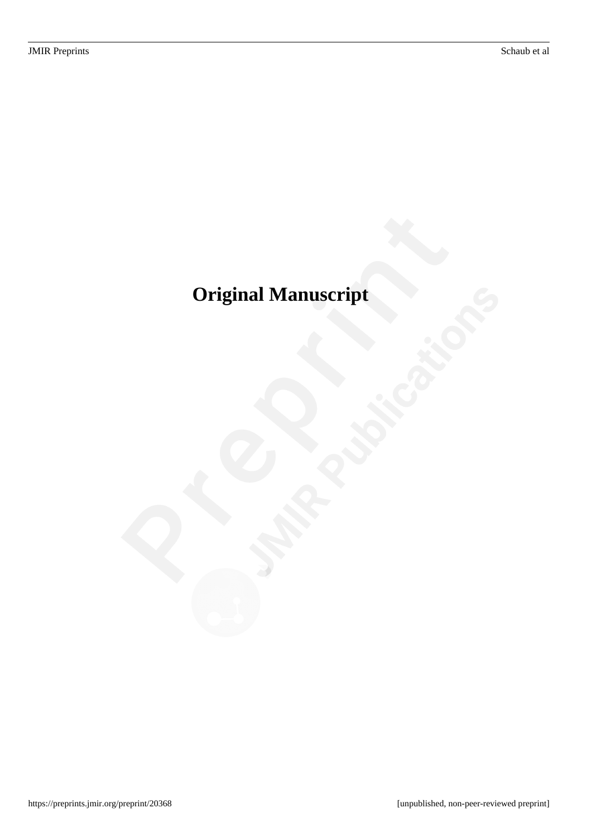# <span id="page-3-0"></span>**Original Manuscript**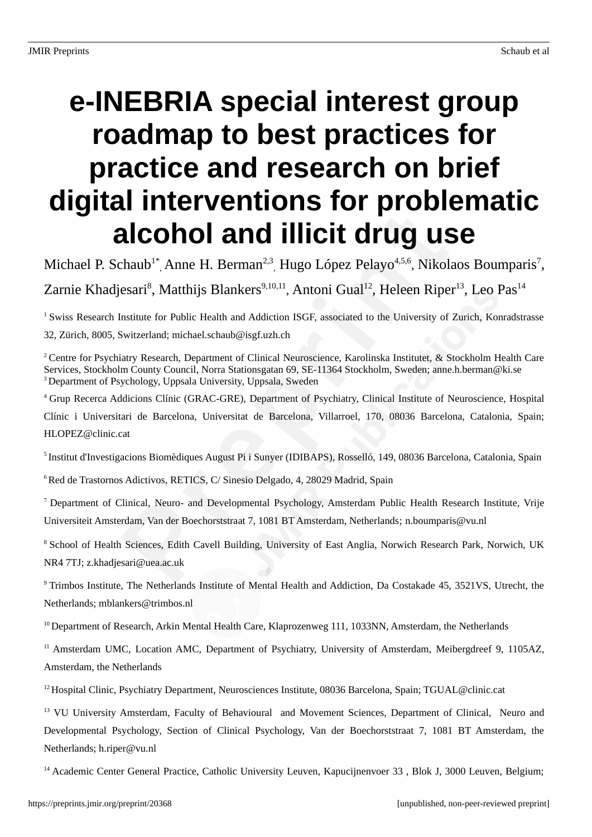# **e-INEBRIA special interest group roadmap to best practices for practice and research on brief digital interventions for problematic alcohol and illicit drug use**

Michael P. Schaub<sup>1\*</sup>, Anne H. Berman<sup>2,3</sup>, Hugo López Pelayo<sup>4,5,6</sup>, Nikolaos Boumparis<sup>7</sup>,

Zarnie Khadjesari<sup>8</sup>, Matthijs Blankers<sup>9,10,11</sup>, Antoni Gual<sup>12</sup>, Heleen Riper<sup>13</sup>, Leo Pas<sup>14</sup>

<sup>1</sup> Swiss Research Institute for Public Health and Addiction ISGF, associated to the University of Zurich, Konradstrasse 32, Zürich, 8005, Switzerland; michael.schaub@isgf.uzh.ch

<sup>2</sup> Centre for Psychiatry Research, Department of Clinical Neuroscience, Karolinska Institutet, & Stockholm Health Care Services, Stockholm County Council, Norra Stationsgatan 69, SE-11364 Stockholm, Sweden; anne.h.berman@ki.se <sup>3</sup> Department of Psychology, Uppsala University, Uppsala, Sweden

<sup>4</sup>Grup Recerca Addicions Clínic (GRAC-GRE), Department of Psychiatry, Clinical Institute of Neuroscience, Hospital

Clínic i Universitari de Barcelona, Universitat de Barcelona, Villarroel, 170, 08036 Barcelona, Catalonia, Spain; HLOPEZ@clinic.cat

<sup>5</sup> Institut d'Investigacions Biomèdiques August Pi i Sunyer (IDIBAPS), Rosselló, 149, 08036 Barcelona, Catalonia, Spain

<sup>6</sup> Red de Trastornos Adictivos, RETICS, C/ Sinesio Delgado, 4, 28029 Madrid, Spain

<sup>7</sup>Department of Clinical, Neuro- and Developmental Psychology, Amsterdam Public Health Research Institute, Vrije Universiteit Amsterdam, Van der Boechorststraat 7, 1081 BT Amsterdam, Netherlands; n.boumparis@vu.nl

<sup>8</sup> School of Health Sciences, Edith Cavell Building, University of East Anglia, Norwich Research Park, Norwich, UK NR4 7TJ; z.khadjesari@uea.ac.uk

<sup>9</sup>Trimbos Institute, The Netherlands Institute of Mental Health and Addiction, Da Costakade 45, 3521VS, Utrecht, the Netherlands; mblankers@trimbos.nl

 $10$  Department of Research, Arkin Mental Health Care, Klaprozenweg 111, 1033NN, Amsterdam, the Netherlands

 $11$  Amsterdam UMC, Location AMC, Department of Psychiatry, University of Amsterdam, Meibergdreef 9, 1105AZ, Amsterdam, the Netherlands

<sup>12</sup> Hospital Clinic, Psychiatry Department, Neurosciences Institute, 08036 Barcelona, Spain; TGUAL@clinic.cat

<sup>13</sup> VU University Amsterdam, Faculty of Behavioural and Movement Sciences, Department of Clinical, Neuro and Developmental Psychology, Section of Clinical Psychology, Van der Boechorststraat 7, 1081 BT Amsterdam, the Netherlands; h.riper@vu.nl

<sup>14</sup> Academic Center General Practice, Catholic University Leuven, Kapucijnenvoer 33, Blok J, 3000 Leuven, Belgium;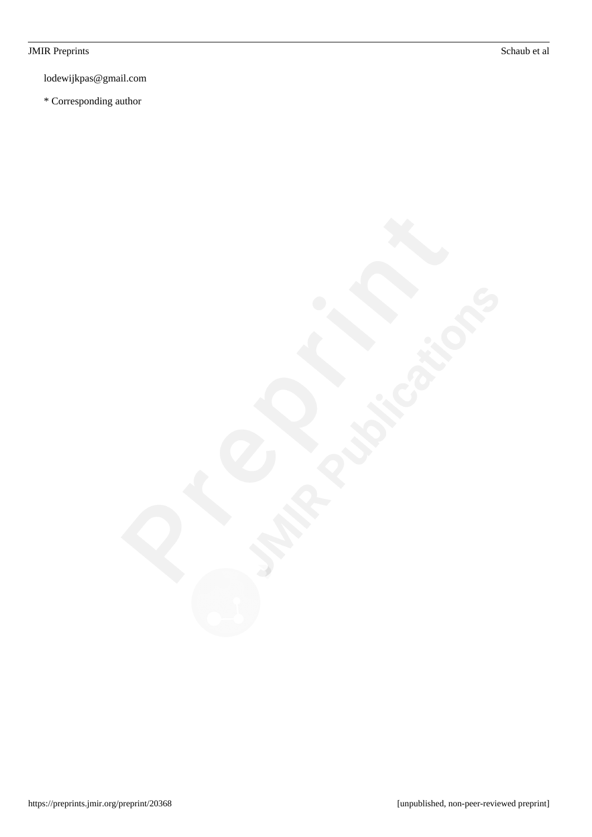#### JMIR Preprints Schaub et al

lodewijkpas@gmail.com

\* Corresponding author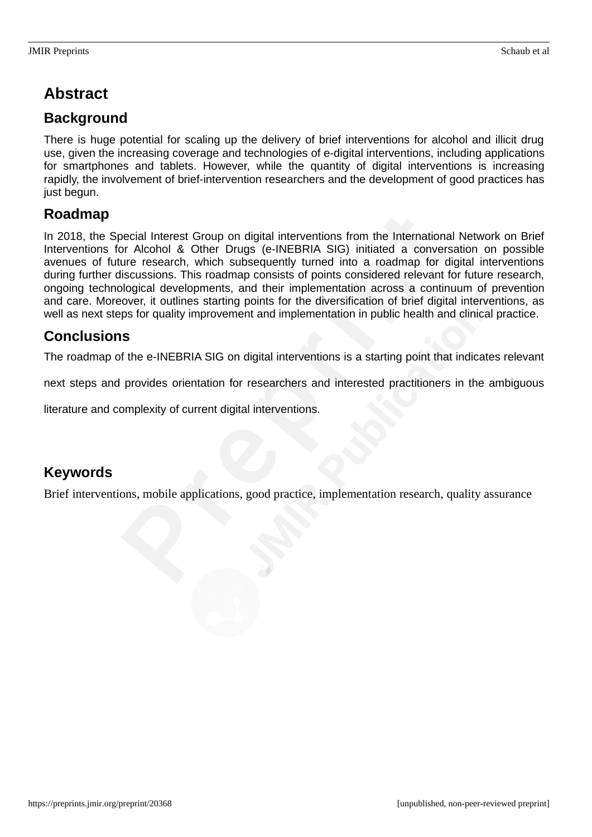# **Abstract**

#### **Background**

There is huge potential for scaling up the delivery of brief interventions for alcohol and illicit drug use, given the increasing coverage and technologies of e-digital interventions, including applications for smartphones and tablets. However, while the quantity of digital interventions is increasing rapidly, the involvement of brief-intervention researchers and the development of good practices has just begun.

#### **Roadmap**

In 2018, the Special Interest Group on digital interventions from the International Network on Brief Interventions for Alcohol & Other Drugs (e-INEBRIA SIG) initiated a conversation on possible avenues of future research, which subsequently turned into a roadmap for digital interventions during further discussions. This roadmap consists of points considered relevant for future research, ongoing technological developments, and their implementation across a continuum of prevention and care. Moreover, it outlines starting points for the diversification of brief digital interventions, as well as next steps for quality improvement and implementation in public health and clinical practice.

#### **Conclusions**

The roadmap of the e-INEBRIA SIG on digital interventions is a starting point that indicates relevant

next steps and provides orientation for researchers and interested practitioners in the ambiguous

literature and complexity of current digital interventions.

#### **Keywords**

Brief interventions, mobile applications, good practice, implementation research, quality assurance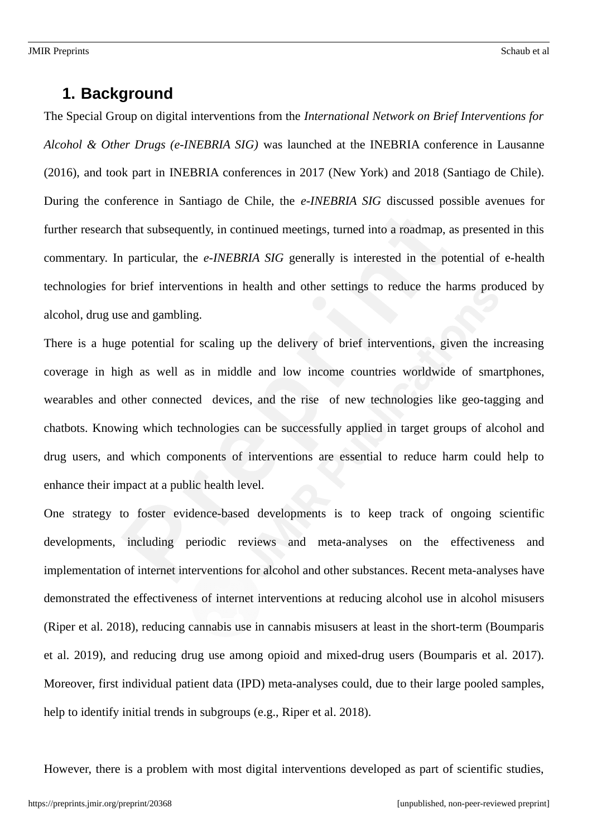#### **1. Background**

The Special Group on digital interventions from the *International Network on Brief Interventions for Alcohol & Other Drugs (e-INEBRIA SIG)* was launched at the INEBRIA conference in Lausanne (2016), and took part in INEBRIA conferences in 2017 (New York) and 2018 (Santiago de Chile). During the conference in Santiago de Chile, the *e-INEBRIA SIG* discussed possible avenues for further research that subsequently, in continued meetings, turned into a roadmap, as presented in this commentary. In particular, the *e-INEBRIA SIG* generally is interested in the potential of e-health technologies for brief interventions in health and other settings to reduce the harms produced by alcohol, drug use and gambling.

There is a huge potential for scaling up the delivery of brief interventions, given the increasing coverage in high as well as in middle and low income countries worldwide of smartphones, wearables and other connected devices, and the rise of new technologies like geo-tagging and chatbots. Knowing which technologies can be successfully applied in target groups of alcohol and drug users, and which components of interventions are essential to reduce harm could help to enhance their impact at a public health level.

One strategy to foster evidence-based developments is to keep track of ongoing scientific developments, including periodic reviews and meta-analyses on the effectiveness and implementation of internet interventions for alcohol and other substances. Recent meta-analyses have demonstrated the effectiveness of internet interventions at reducing alcohol use in alcohol misusers (Riper et al. 2018), reducing cannabis use in cannabis misusers at least in the short-term (Boumparis et al. 2019), and reducing drug use among opioid and mixed-drug users (Boumparis et al. 2017). Moreover, first individual patient data (IPD) meta-analyses could, due to their large pooled samples, help to identify initial trends in subgroups (e.g., Riper et al. 2018).

However, there is a problem with most digital interventions developed as part of scientific studies,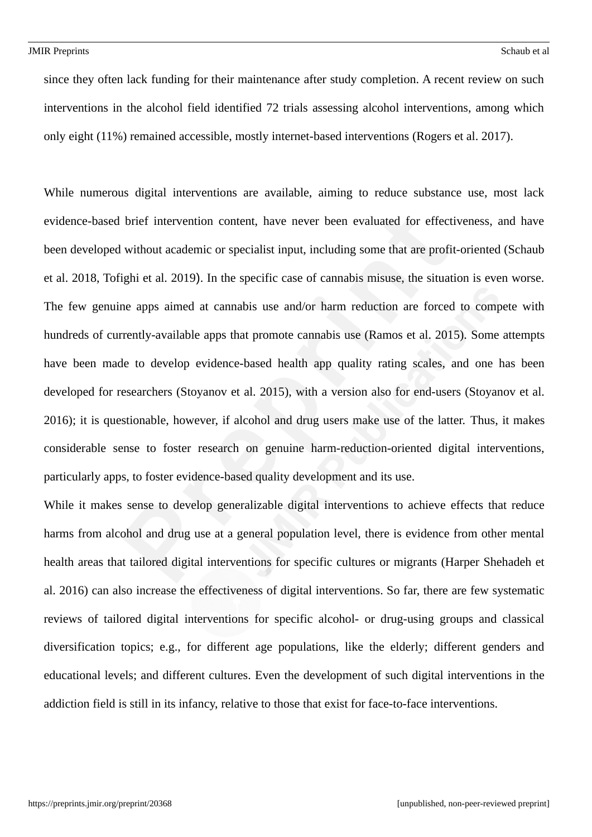since they often lack funding for their maintenance after study completion. A recent review on such interventions in the alcohol field identified 72 trials assessing alcohol interventions, among which only eight (11%) remained accessible, mostly internet-based interventions (Rogers et al. 2017).

While numerous digital interventions are available, aiming to reduce substance use, most lack evidence-based brief intervention content, have never been evaluated for effectiveness, and have been developed without academic or specialist input, including some that are profit-oriented (Schaub et al. 2018, Tofighi et al. 2019). In the specific case of cannabis misuse, the situation is even worse. The few genuine apps aimed at cannabis use and/or harm reduction are forced to compete with hundreds of currently-available apps that promote cannabis use (Ramos et al. 2015). Some attempts have been made to develop evidence-based health app quality rating scales, and one has been developed for researchers (Stoyanov et al. 2015), with a version also for end-users (Stoyanov et al. 2016); it is questionable, however, if alcohol and drug users make use of the latter. Thus, it makes considerable sense to foster research on genuine harm-reduction-oriented digital interventions, particularly apps, to foster evidence-based quality development and its use.

While it makes sense to develop generalizable digital interventions to achieve effects that reduce harms from alcohol and drug use at a general population level, there is evidence from other mental health areas that tailored digital interventions for specific cultures or migrants (Harper Shehadeh et al. 2016) can also increase the effectiveness of digital interventions. So far, there are few systematic reviews of tailored digital interventions for specific alcohol- or drug-using groups and classical diversification topics; e.g., for different age populations, like the elderly; different genders and educational levels; and different cultures. Even the development of such digital interventions in the addiction field is still in its infancy, relative to those that exist for face-to-face interventions.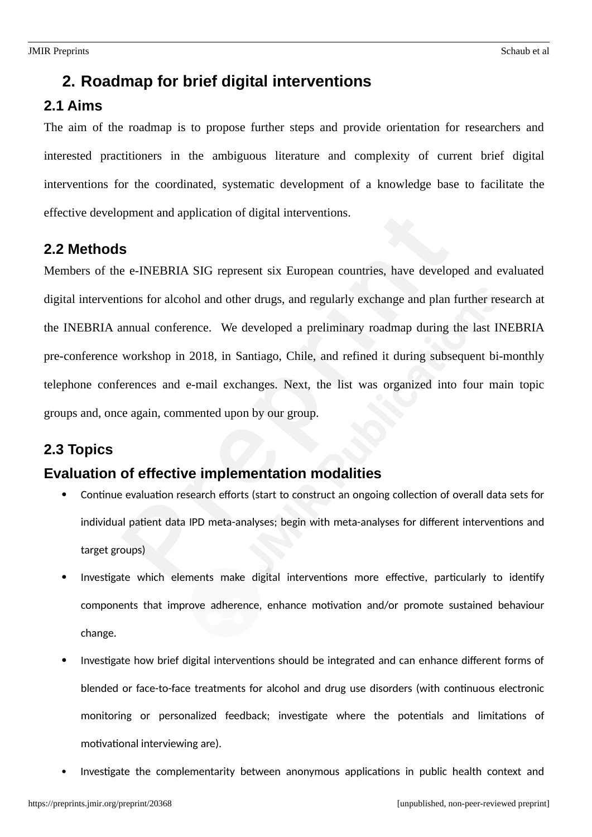### **2. Roadmap for brief digital interventions**

#### **2.1 Aims**

The aim of the roadmap is to propose further steps and provide orientation for researchers and interested practitioners in the ambiguous literature and complexity of current brief digital interventions for the coordinated, systematic development of a knowledge base to facilitate the effective development and application of digital interventions.

#### **2.2 Methods**

Members of the e-INEBRIA SIG represent six European countries, have developed and evaluated digital interventions for alcohol and other drugs, and regularly exchange and plan further research at the INEBRIA annual conference. We developed a preliminary roadmap during the last INEBRIA pre-conference workshop in 2018, in Santiago, Chile, and refined it during subsequent bi-monthly telephone conferences and e-mail exchanges. Next, the list was organized into four main topic groups and, once again, commented upon by our group.

#### **2.3 Topics**

#### **Evaluation of effective implementation modalities**

- Continue evaluation research efforts (start to construct an ongoing collection of overall data sets for individual patient data IPD meta-analyses; begin with meta-analyses for different interventions and target groups)
- Investigate which elements make digital interventions more effective, particularly to identify components that improve adherence, enhance motivation and/or promote sustained behaviour change.
- Investigate how brief digital interventions should be integrated and can enhance different forms of blended or face-to-face treatments for alcohol and drug use disorders (with continuous electronic monitoring or personalized feedback; investigate where the potentials and limitations of motivational interviewing are).
- Investigate the complementarity between anonymous applications in public health context and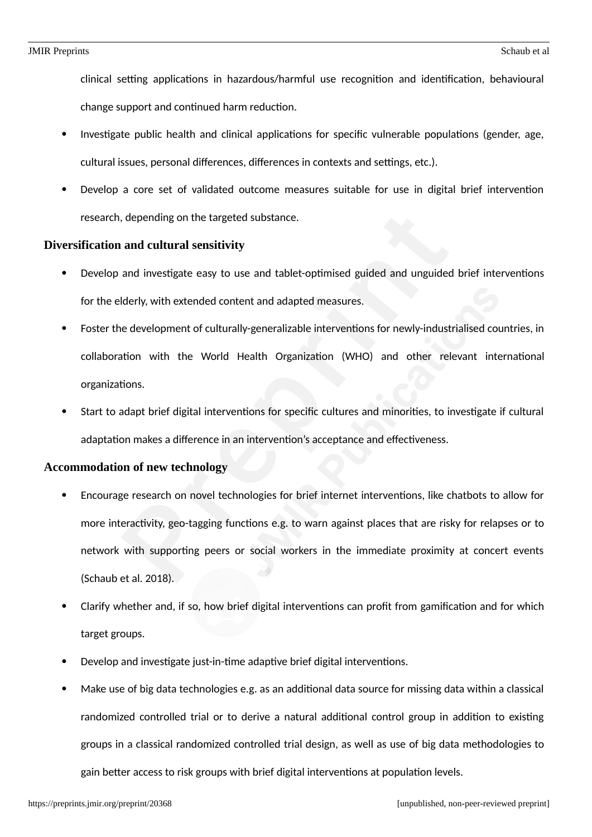clinical setting applications in hazardous/harmful use recognition and identification, behavioural change support and continued harm reduction.

- Investigate public health and clinical applications for specific vulnerable populations (gender, age, cultural issues, personal differences, differences in contexts and settings, etc.).
- Develop a core set of validated outcome measures suitable for use in digital brief intervention research, depending on the targeted substance.

#### **Diversification and cultural sensitivity**

- Develop and investigate easy to use and tablet-optimised guided and unguided brief interventions for the elderly, with extended content and adapted measures.
- Foster the development of culturally-generalizable interventions for newly-industrialised countries, in collaboration with the World Health Organization (WHO) and other relevant international organizations.
- Start to adapt brief digital interventions for specific cultures and minorities, to investigate if cultural adaptation makes a difference in an intervention's acceptance and effectiveness.

#### **Accommodation of new technology**

- Encourage research on novel technologies for brief internet interventions, like chatbots to allow for more interactivity, geo-tagging functions e.g. to warn against places that are risky for relapses or to network with supporting peers or social workers in the immediate proximity at concert events (Schaub et al. 2018).
- Clarify whether and, if so, how brief digital interventions can profit from gamification and for which target groups.
- Develop and investigate just-in-time adaptive brief digital interventions.
- Make use of big data technologies e.g. as an additional data source for missing data within a classical randomized controlled trial or to derive a natural additional control group in addition to existing groups in a classical randomized controlled trial design, as well as use of big data methodologies to gain better access to risk groups with brief digital interventions at population levels.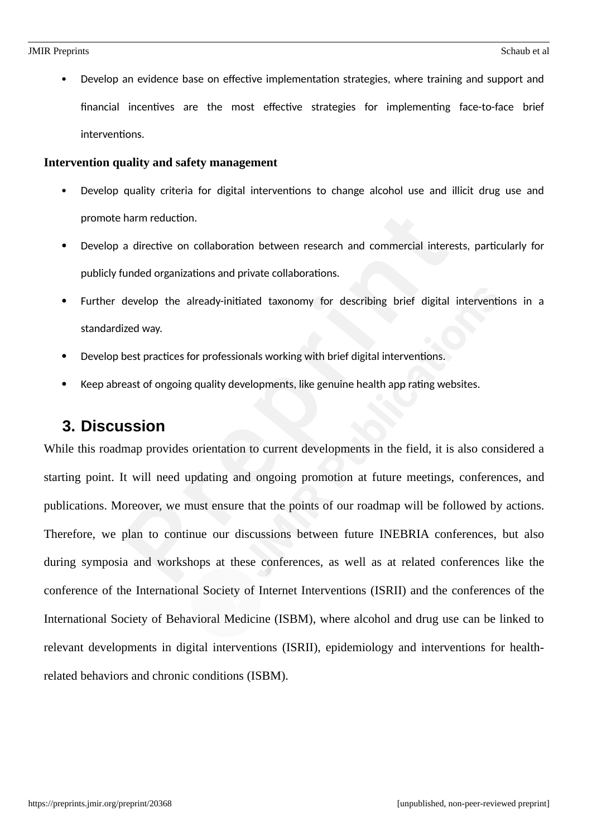Develop an evidence base on effective implementation strategies, where training and support and financial incentives are the most effective strategies for implementing face-to-face brief interventions.

#### **Intervention quality and safety management**

- Develop quality criteria for digital interventions to change alcohol use and illicit drug use and promote harm reduction.
- Develop a directive on collaboration between research and commercial interests, particularly for publicly funded organizations and private collaborations.
- Further develop the already-initiated taxonomy for describing brief digital interventions in a standardized way.
- Develop best practices for professionals working with brief digital interventions.
- Keep abreast of ongoing quality developments, like genuine health app rating websites.

#### **3. Discussion**

While this roadmap provides orientation to current developments in the field, it is also considered a starting point. It will need updating and ongoing promotion at future meetings, conferences, and publications. Moreover, we must ensure that the points of our roadmap will be followed by actions. Therefore, we plan to continue our discussions between future INEBRIA conferences, but also during symposia and workshops at these conferences, as well as at related conferences like the conference of the International Society of Internet Interventions (ISRII) and the conferences of the International Society of Behavioral Medicine (ISBM), where alcohol and drug use can be linked to relevant developments in digital interventions (ISRII), epidemiology and interventions for healthrelated behaviors and chronic conditions (ISBM).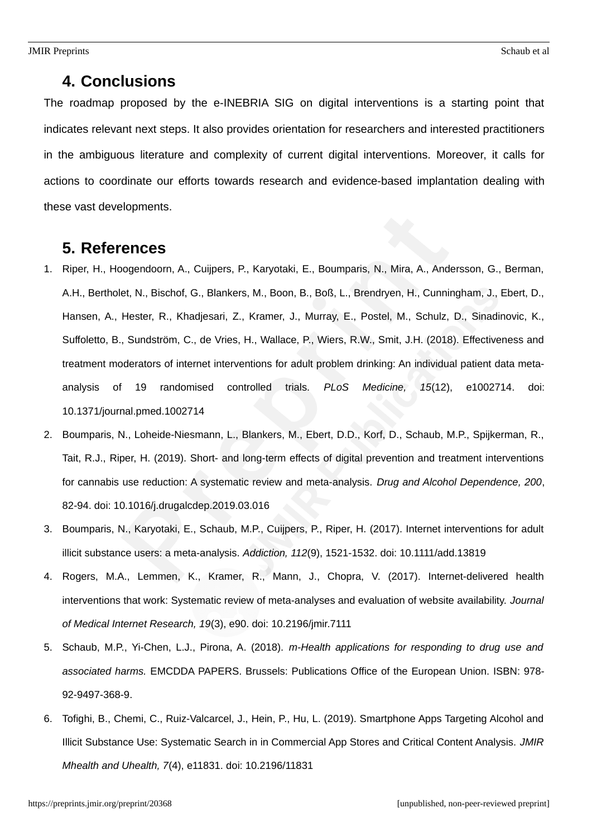#### **4. Conclusions**

The roadmap proposed by the e-INEBRIA SIG on digital interventions is a starting point that indicates relevant next steps. It also provides orientation for researchers and interested practitioners in the ambiguous literature and complexity of current digital interventions. Moreover, it calls for actions to coordinate our efforts towards research and evidence-based implantation dealing with these vast developments.

#### **5. References**

- 1. Riper, H., Hoogendoorn, A., Cuijpers, P., Karyotaki, E., Boumparis, N., Mira, A., Andersson, G., Berman, A.H., Bertholet, N., Bischof, G., Blankers, M., Boon, B., Boß, L., Brendryen, H., Cunningham, J., Ebert, D., Hansen, A., Hester, R., Khadjesari, Z., Kramer, J., Murray, E., Postel, M., Schulz, D., Sinadinovic, K., Suffoletto, B., Sundström, C., de Vries, H., Wallace, P., Wiers, R.W., Smit, J.H. (2018). Effectiveness and treatment moderators of internet interventions for adult problem drinking: An individual patient data metaanalysis of 19 randomised controlled trials. *PLoS Medicine, 15*(12), e1002714. doi: 10.1371/journal.pmed.1002714
- 2. Boumparis, N., Loheide-Niesmann, L., Blankers, M., Ebert, D.D., Korf, D., Schaub, M.P., Spijkerman, R., Tait, R.J., Riper, H. (2019). Short- and long-term effects of digital prevention and treatment interventions for cannabis use reduction: A systematic review and meta-analysis. *Drug and Alcohol Dependence, 200*, 82-94. doi: 10.1016/j.drugalcdep.2019.03.016
- 3. Boumparis, N., Karyotaki, E., Schaub, M.P., Cuijpers, P., Riper, H. (2017). Internet interventions for adult illicit substance users: a meta-analysis. *Addiction, 112*(9), 1521-1532. doi: 10.1111/add.13819
- 4. Rogers, M.A., Lemmen, K., Kramer, R., Mann, J., Chopra, V. (2017). Internet-delivered health interventions that work: Systematic review of meta-analyses and evaluation of website availability. *Journal of Medical Internet Research, 19*(3), e90. doi: 10.2196/jmir.7111
- 5. Schaub, M.P., Yi-Chen, L.J., Pirona, A. (2018). *m-Health applications for responding to drug use and associated harms.* EMCDDA PAPERS. Brussels: Publications Office of the European Union. ISBN: 978- 92-9497-368-9.
- 6. Tofighi, B., Chemi, C., Ruiz-Valcarcel, J., Hein, P., Hu, L. (2019). Smartphone Apps Targeting Alcohol and Illicit Substance Use: Systematic Search in in Commercial App Stores and Critical Content Analysis. *JMIR Mhealth and Uhealth, 7*(4), e11831. doi: 10.2196/11831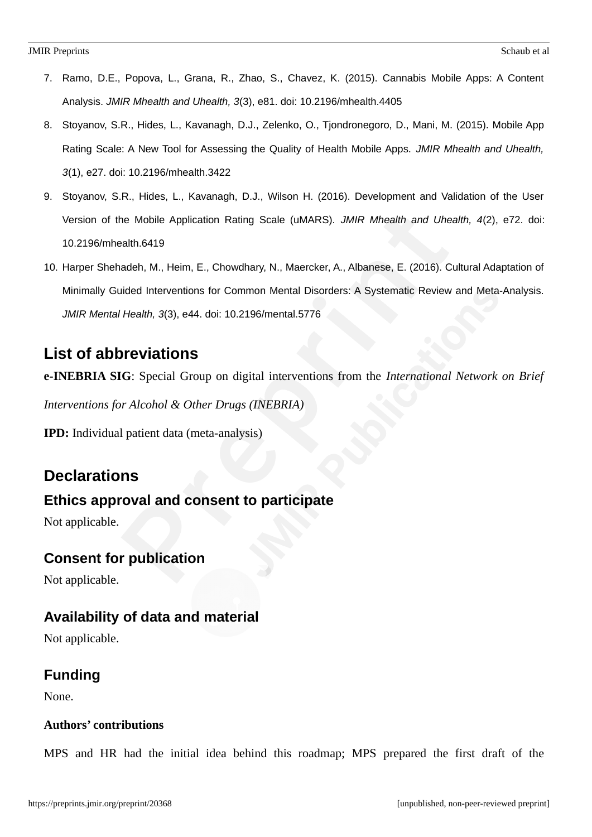- 7. Ramo, D.E., Popova, L., Grana, R., Zhao, S., Chavez, K. (2015). Cannabis Mobile Apps: A Content Analysis. *JMIR Mhealth and Uhealth, 3*(3), e81. doi: 10.2196/mhealth.4405
- 8. Stoyanov, S.R., Hides, L., Kavanagh, D.J., Zelenko, O., Tjondronegoro, D., Mani, M. (2015). Mobile App Rating Scale: A New Tool for Assessing the Quality of Health Mobile Apps. *JMIR Mhealth and Uhealth, 3*(1), e27. doi: 10.2196/mhealth.3422
- 9. Stoyanov, S.R., Hides, L., Kavanagh, D.J., Wilson H. (2016). Development and Validation of the User Version of the Mobile Application Rating Scale (uMARS). *JMIR Mhealth and Uhealth, 4*(2), e72. doi: 10.2196/mhealth.6419
- 10. Harper Shehadeh, M., Heim, E., Chowdhary, N., Maercker, A., Albanese, E. (2016). Cultural Adaptation of Minimally Guided Interventions for Common Mental Disorders: A Systematic Review and Meta-Analysis. *JMIR Mental Health, 3*(3), e44. doi: 10.2196/mental.5776

# **List of abbreviations**

**e-INEBRIA SIG**: Special Group on digital interventions from the *International Network on Brief*

*Interventions for Alcohol & Other Drugs (INEBRIA)*

**IPD:** Individual patient data (meta-analysis)

# **Declarations**

# **Ethics approval and consent to participate**

Not applicable.

#### **Consent for publication**

Not applicable.

# **Availability of data and material**

Not applicable.

# **Funding**

None.

#### **Authors' contributions**

MPS and HR had the initial idea behind this roadmap; MPS prepared the first draft of the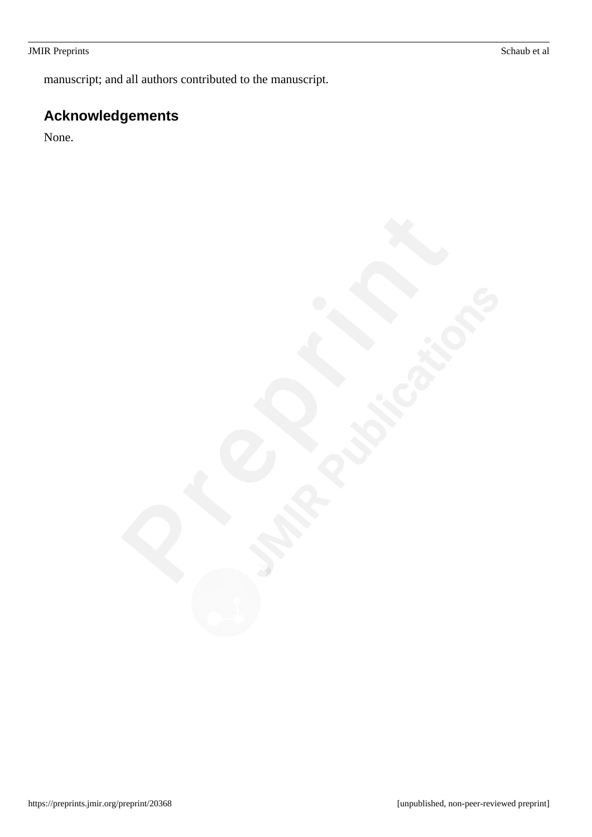#### JMIR Preprints Schaub et al

manuscript; and all authors contributed to the manuscript.

# **Acknowledgements**

None.